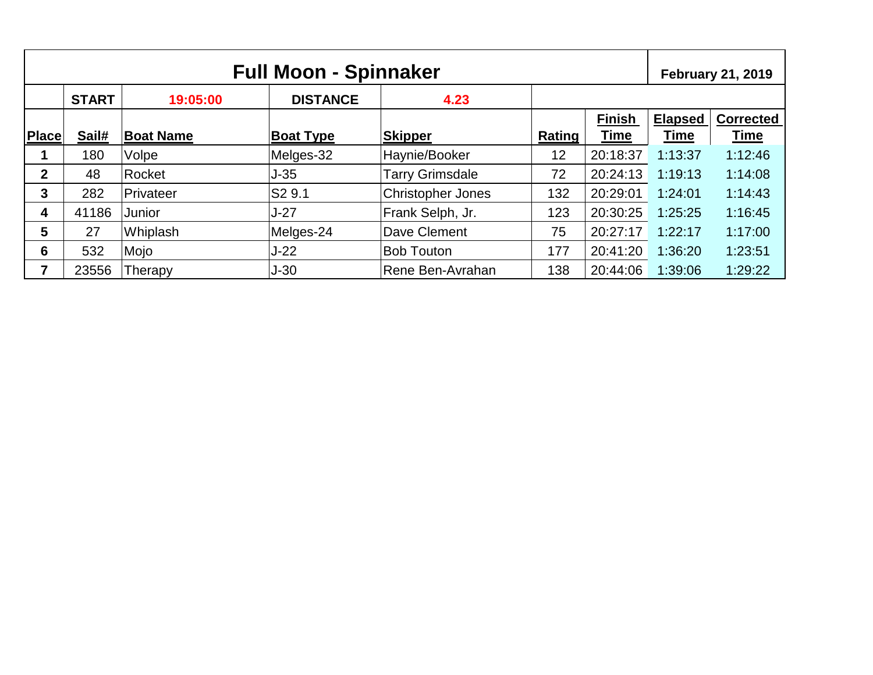| <b>Full Moon - Spinnaker</b> |              |                  |                  |                          |        |               | <b>February 21, 2019</b> |                  |
|------------------------------|--------------|------------------|------------------|--------------------------|--------|---------------|--------------------------|------------------|
|                              | <b>START</b> | 19:05:00         | <b>DISTANCE</b>  | 4.23                     |        |               |                          |                  |
|                              |              |                  |                  |                          |        | <b>Finish</b> | <b>Elapsed</b>           | <b>Corrected</b> |
| <b>Place</b>                 | Sail#        | <b>Boat Name</b> | <b>Boat Type</b> | Skipper                  | Rating | <b>Time</b>   | Time                     | Time             |
|                              | 180          | Volpe            | Melges-32        | Haynie/Booker            | 12     | 20:18:37      | 1:13:37                  | 1:12:46          |
| $\mathbf 2$                  | 48           | Rocket           | $J-35$           | <b>Tarry Grimsdale</b>   | 72     | 20:24:13      | 1:19:13                  | 1:14:08          |
| 3                            | 282          | Privateer        | S2 9.1           | <b>Christopher Jones</b> | 132    | 20:29:01      | 1:24:01                  | 1:14:43          |
| 4                            | 41186        | Junior           | $J-27$           | Frank Selph, Jr.         | 123    | 20:30:25      | 1:25:25                  | 1:16:45          |
| 5                            | 27           | Whiplash         | Melges-24        | Dave Clement             | 75     | 20:27:17      | 1:22:17                  | 1:17:00          |
| 6                            | 532          | Mojo             | $J-22$           | <b>Bob Touton</b>        | 177    | 20:41:20      | 1:36:20                  | 1:23:51          |
| 7                            | 23556        | Therapy          | $J-30$           | Rene Ben-Avrahan         | 138    | 20:44:06      | 1:39:06                  | 1:29:22          |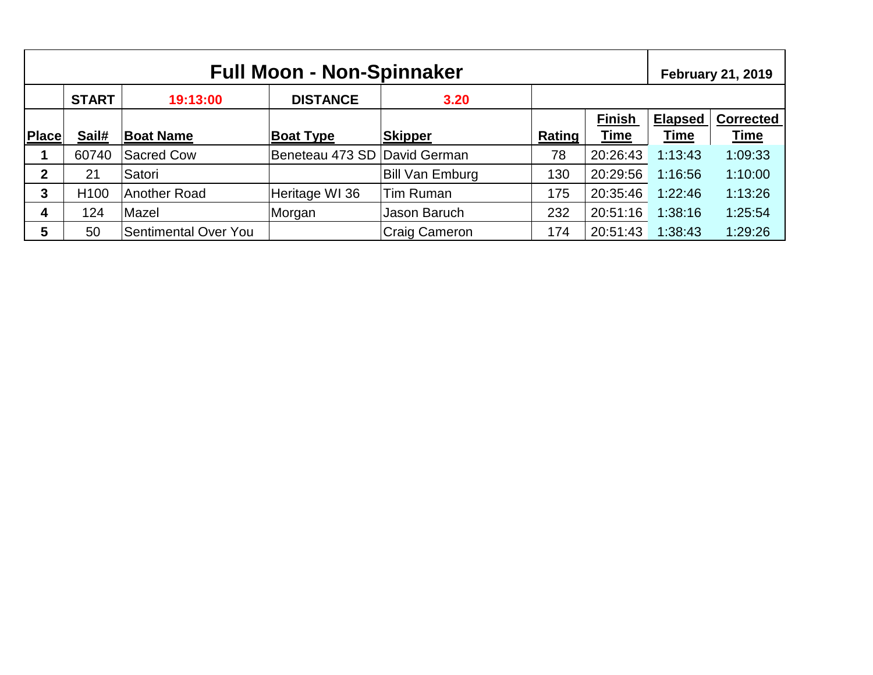| <b>Full Moon - Non-Spinnaker</b> |                  |                             |                              |                        |        |               | <b>February 21, 2019</b> |                  |
|----------------------------------|------------------|-----------------------------|------------------------------|------------------------|--------|---------------|--------------------------|------------------|
|                                  | <b>START</b>     | 19:13:00                    | <b>DISTANCE</b>              | 3.20                   |        |               |                          |                  |
|                                  |                  |                             |                              |                        |        | <b>Finish</b> | <b>Elapsed</b>           | <b>Corrected</b> |
| <b>Place</b>                     | Sail#            | <b>Boat Name</b>            | <b>Boat Type</b>             | <b>Skipper</b>         | Rating | <b>Time</b>   | <b>Time</b>              | <b>Time</b>      |
|                                  | 60740            | <b>Sacred Cow</b>           | Beneteau 473 SD David German |                        | 78     | 20:26:43      | 1:13:43                  | 1:09:33          |
| $\overline{2}$                   | 21               | Satori                      |                              | <b>Bill Van Emburg</b> | 130    | 20:29:56      | 1:16:56                  | 1:10:00          |
| 3                                | H <sub>100</sub> | <b>Another Road</b>         | Heritage WI 36               | Tim Ruman              | 175    | 20:35:46      | 1:22:46                  | 1:13:26          |
| 4                                | 124              | Mazel                       | Morgan                       | Jason Baruch           | 232    | 20:51:16      | 1:38:16                  | 1:25:54          |
| 5                                | 50               | <b>Sentimental Over You</b> |                              | Craig Cameron          | 174    | 20:51:43      | 1:38:43                  | 1:29:26          |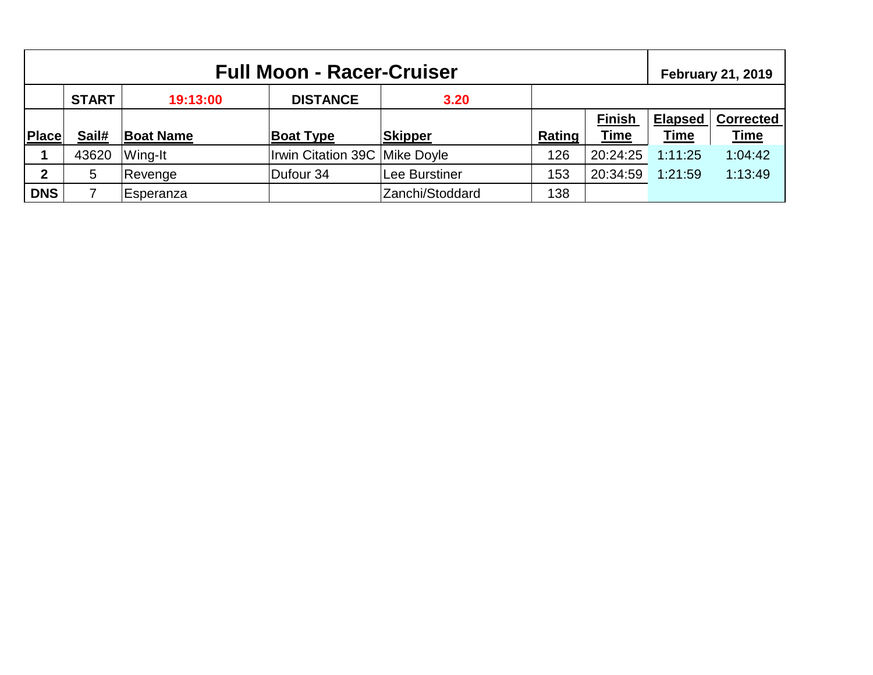| <b>Full Moon - Racer-Cruiser</b> |              |                  |                               |                 |        | <b>February 21, 2019</b> |                |                  |
|----------------------------------|--------------|------------------|-------------------------------|-----------------|--------|--------------------------|----------------|------------------|
|                                  | <b>START</b> | 19:13:00         | <b>DISTANCE</b>               | 3.20            |        |                          |                |                  |
|                                  |              |                  |                               |                 |        | <b>Finish</b>            | <b>Elapsed</b> | <b>Corrected</b> |
| Place                            | Sail#        | <b>Boat Name</b> | <b>Boat Type</b>              | <b>Skipper</b>  | Rating | <b>Time</b>              | <b>Time</b>    | <b>Time</b>      |
|                                  | 43620        | Wing-It          | Irwin Citation 39C Mike Doyle |                 | 126    | 20:24:25                 | 1:11:25        | 1:04:42          |
| $\mathbf{2}$                     | 5            | Revenge          | Dufour 34                     | Lee Burstiner   | 153    | 20:34:59                 | 1:21:59        | 1:13:49          |
| <b>DNS</b>                       |              | Esperanza        |                               | Zanchi/Stoddard | 138    |                          |                |                  |